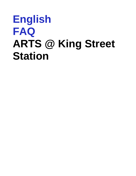# **English FAQ ARTS @ King Street Station**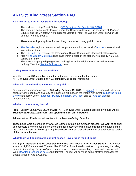# **ARTS @ King Street Station FAQ**

# **How do I get to King Street Station (directions)?**

The address of King Street Station is [303 S Jackson St, Seattle, WA 98104.](https://goo.gl/maps/CkDQ4NWVBtT2) The station is conveniently located where the Downtown Central Business District, Pioneer Square, and the Chinatown / International District all meet (on Jackson Street between 3rd and 4th Avenues South).

#### **There are multiple options for reaching the station using public transit:**

- [The Sounder](https://www.soundtransit.org/sounder) regional commuter train stops at the station, as do all of [Amtrak's](https://www.amtrak.com/) national and international lines.
- The [Link Light Rail](https://www.soundtransit.org/Schedules/Link-light-rail) stops at the International District Station, one block east of the station.
- Many [King County](https://kingcounty.gov/depts/transportation/metro/schedules-maps.aspx) Metro Bus lines pass within a block of the station, including 1, 7, 36, 14. **Where do I park?** There are multiple paid garages and parking lots in the neighborhood, as well as street parking. View the [Seattle Parking Map](http://web6.seattle.gov/sdot/seattleparkingmap/) here.

### **Is King Street Station ADA accessible?**

Yes, there is an ADA-compliant elevator that services every level of the station. ARTS @ King Street Station has ADA-compliant, all-gender restrooms.

#### **When will the cultural space open to the public?**

Our inaugural exhibition opens on **Saturday, January 19, 2019.** It is *[yəhaw̓](https://yehawshow.com/) ,* an open call exhibition celebrating the depth and diversity of Indigenous art made in the Pacific Northwest. [Subscribe to our](https://www.seattle.gov/arts/about-us#enews)  [e-news](https://www.seattle.gov/arts/about-us#enews) and follow us on [Facebook,](https://www.facebook.com/SeattleArts) [Twitter,](https://twitter.com/SeattleArts) [Instagram,](https://www.instagram.com/seaofficeofarts/) [YouTube,](https://www.youtube.com/user/seattlearts) and our [ArtBeat Blog](http://artbeat.seattle.gov/) for announcements.

#### **What are the operating hours?**

From Tuesday, January 22, 2019 onward, ARTS @ King Street Station public gallery hours will be **Tuesday-Saturday, 10am-5pm, and open until 8pm on Thursdays.**

Administrative office hours will continue to be Monday-Friday, 8am-5pm.

These hours were determined by what we learned through the outreach process. We want to be open and accessible to the thousands of transit and rail passengers who move through the station during the day every week, while recognizing that most of our city takes advantage of cultural activity outside of their work schedule.

#### **What floors will be dedicated cultural space? How large is the 3rd floor?**

**ARTS @ King Street Station occupies the entire third floor of King Street Station.** This interior space is 17,130 square feet. There will be 10,000 sq.ft.dedicated to cultural programming, including an exhibition gallery, "grey box" performance space, conference/meeting rooms, and a lounge with WiFi. [Download renderings here](http://www.seattle.gov/Documents/Departments/Arts/Downloads/About/161105%20OK%20presentation.pptx) (.pptx format). The rest will serve as administrative offices for the Seattle Office of Arts & Culture.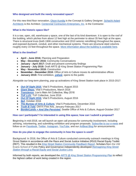### **Who designed and built the newly renovated space?**

For this new third floor renovation, [Olson Kundig](https://www.olsonkundig.com/) is the Concept & Gallery Designer. Schacht Aslani [Architects](http://www.saarch.com/) is the Architect. [Centennial Contractors Enterprises, Inc.](http://www.cce-inc.com/) is the Contractor.

# **What is the historic space like?**

It is a raw, open, old, warehouse-y space, one of the last of its kind downtown. It is open to the roof of the building, which pitches from about 12 feet high at the perimeter to about 35 feet high at the apex. There is structural truss (both 1906 construction and 2010 seismic retrofitting) throughout the space, and exposed ductwork, conduit, and other mechanical systems. There are structural steel columns roughly every 15 feet throughout the space. [More information about the building is available here.](http://www.seattle.gov/transportation/projects-and-programs/programs/transit-program/king-street-station)

### **What is the timeline?**

- **April - June 2016:** Planning and Preparation
- **May - December 2016:** Community Conversations
- **January - April 2017:** Draft and present community findings
- **January - July 2018:** Draft ARTS @ King Street Station Programming Plan
- **May - November 2018:** Construction
- **November - December 2018:** Office of Arts & Culture moves its administrative offices
- **January 2019:** First exhibition, *[yəhaw̓](https://yehawshow.com/) ,* opens to the public

Alongside our long-term planning, pop-up activations of King Street Station took place in 2015-2017:

- *[Out Of Sight 2015](http://www.outofsight.space/artist-list/)*, Vital 5 Productions, August 2015
- *[Giant Steps](https://www.seattletimes.com/entertainment/visual-arts/shoot-the-moon-exhibit-at-king-street-station-imagines-art-in-space/)*, Vital 5 Productions, March 2016
- *[Transience](https://www.lionsmain.org/new-events/2016/11/11/transience)*, Lion's Main Art Collective, May 2016
- *[TUF LUV](https://www.tuf-seattle.com/tufluv/)*, TUF Collective, June 2016
- *[Out Of Sight 2016](http://www.outofsight.space/artistlist/)*, Vital 5 Productions, August 2016
- *[9e2](https://vimeo.com/196669696)*, October 2016
- *[The Bureau of Arts & Culture](https://www.vital5productions.com/i-am-from-bellevue-1-1),* Vital 5 Productions, December 2016
- *[Truth B Told](http://www.onyxarts.org/events.html)*, ONYX Fine Arts, January-February 2017
- *[BorderLands + And She Persisted](http://www.seattle.gov/arts/borderlands)*, Seattle Office of Arts & Culture, August-October 2017

### **How can I participate? I'm interested in using this space; how can I submit a proposal?**

Beginning in mid-2018, we will launch an open call process for community involvement, including advising, volunteering, and submitting exhibition and program proposals. [Subscribe to our e-news](https://www.seattle.gov/arts/about-us#enews) and follow us on [Facebook,](https://www.facebook.com/SeattleArts) [Twitter,](https://twitter.com/SeattleArts) [Instagram,](https://www.instagram.com/seaofficeofarts/) [YouTube,](https://www.youtube.com/user/seattlearts) and our [ArtBeat Blog](http://artbeat.seattle.gov/) for announcements.

### **How do you plan to engage the community in how the space is used?**

Background: In 2016, the Office of Arts & Culture conducted community outreach meetings in King Street Station in accordance with the Race and Social Justice Initiative (RSJI) Racial Equity Toolkit (RET). This resulted in the *[King Street Station Community Feedback Report](https://www.seattle.gov/Documents/Departments/Arts/Downloads/About/2018_1-REPORT-KSS-SCREEN.pdf)*. Scholars from the UW Evans School of Public Policy and Governance independently developed *[Reimagining King Street](http://www.seattle.gov/Documents/Departments/Arts/Downloads/About/EvansSchool_ReimaginingKSSRacialEquityLens.pdf)  [Station through a Racial Equity and Social Justice Lens](http://www.seattle.gov/Documents/Departments/Arts/Downloads/About/EvansSchool_ReimaginingKSSRacialEquityLens.pdf)*.

Informed by both reports, we developed the *[ARTS @ King Street Station Programming Plan](http://www.seattle.gov/Documents/Departments/Arts/Downloads/About/2018_8_22-KSSProgrammingPlan.pdf)* to reflect the highest caliber of work being created in the region.